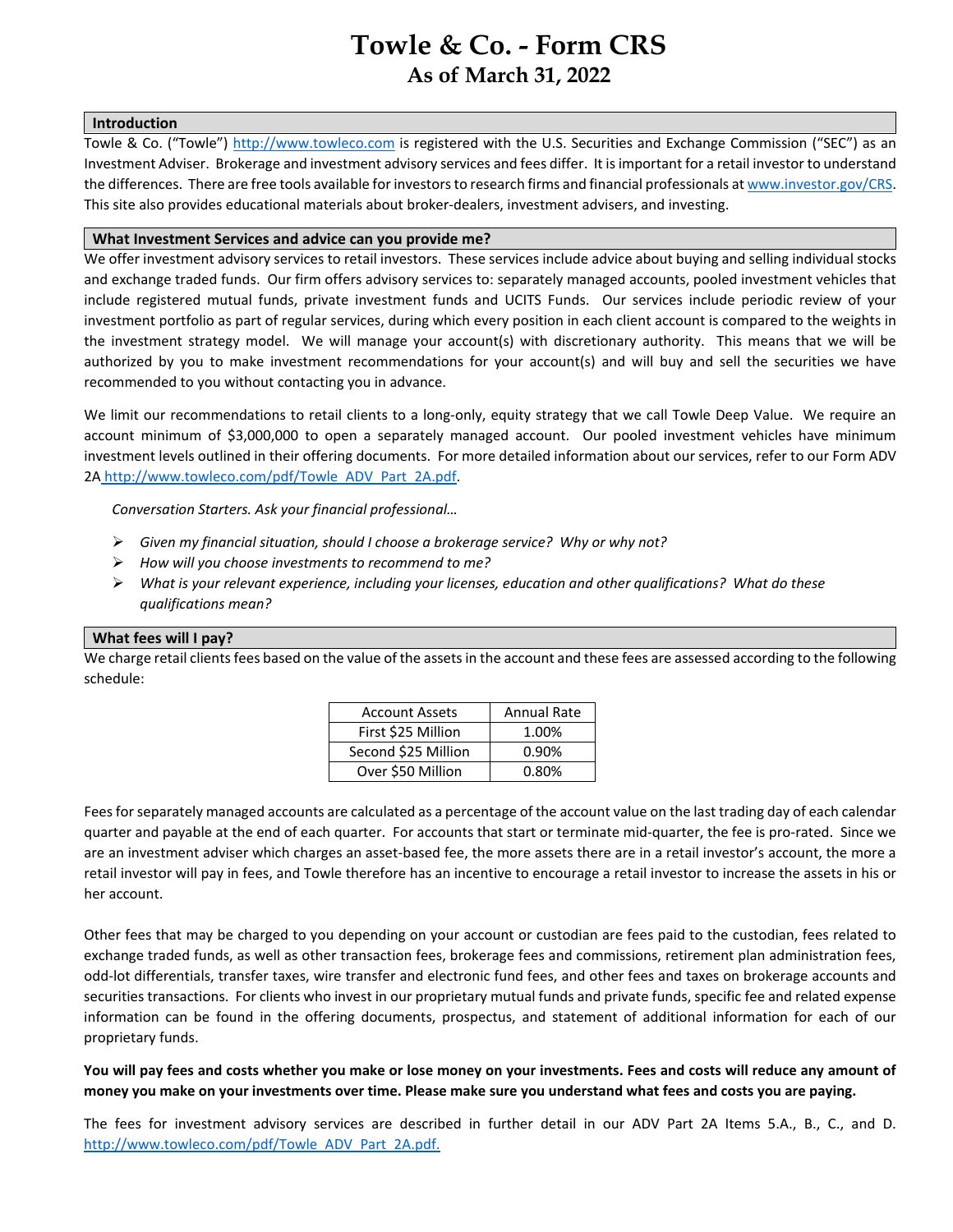# <span id="page-0-0"></span>**Towle & Co. - Form CRS As of March 31, 2022**

#### **Introduction**

Towle & Co. ("Towle") [http://www.towleco.com](http://www.towleco.com/) is registered with the [U.S. Securities and Exchange Commission \("SEC"\)](http://www.sec.org/) as an Investment Adviser. Brokerage and investment advisory services and fees differ. It is important for a retail investor to understand the differences. There are free tools available for investors to research firms and financial professionals a[t www.investor.gov/CRS.](http://www.investor.gov/CRS) This site also provides educational materials about broker-dealers, investment advisers, and investing.

### **What Investment Services and advice can you provide me?**

We offer investment advisory services to retail investors. These services include advice about buying and selling individual stocks and exchange traded funds. Our firm offers advisory services to: [separately managed accounts,](#page-0-0) pooled investment vehicles that include registered mutual funds, private investment funds and UCITS Funds. Our services include periodic review of your investment portfolio as part of regular services, during which every position in each client account is compared to the weights in the investment strategy model. We will manage your account(s) with discretionary authority. This means that we will be authorized by you to make investment recommendations for your account(s) and will buy and sell the securities we have recommended to you without contacting you in advance.

We limit our recommendations to retail clients to a long-only, equity strategy that we call Towle Deep Value. We require an account minimum of \$3,000,000 to open a separately managed account. Our pooled investment vehicles have minimum investment levels outlined in their offering documents. For more detailed information about our services, refer to our Form ADV 2A [http://www.towleco.com/pdf/Towle\\_ADV\\_Part\\_2A.pdf.](http://www.towleco.com/pdf/Towle_ADV_Part_2A.pdf)

*Conversation Starters. Ask your financial professional…*

- *Given my financial situation, should I choose a brokerage service? Why or why not?*
- *How will you choose investments to recommend to me?*
- *What is your relevant experience, including your licenses, education and other qualifications? What do these qualifications mean?*

### **What fees will I pay?**

We charge retail clients fees based on the value of the assets in the account and these fees are assessed according to the following schedule:

<span id="page-0-1"></span>

| <b>Account Assets</b> | <b>Annual Rate</b> |
|-----------------------|--------------------|
| First \$25 Million    | 1.00%              |
| Second \$25 Million   | 0.90%              |
| Over \$50 Million     | 0.80%              |

Fees for separately managed accounts are calculated as a percentage of the account value on the last trading day of each calendar quarter and payable at the end of each quarter. For accounts that start or terminate mid-quarter, the fee is pro-rated. Since we are an investment adviser which charges an asset-based fee, the more assets there are in a retail investor's account, the more a retail investor will pay in fees, and Towle therefore has an incentive to encourage a retail investor to increase the assets in his or her account.

<span id="page-0-2"></span>Other fees that may be charged to you depending on your account or custodian are fees paid to the [custodian,](#page-0-1) fees related to [exchange](#page-0-2) traded funds, as well as other transaction fees, brokerage fees and commissions, retirement plan administration fees, odd-lot differentials, transfer taxes, wire transfer and electronic fund fees, and other fees and taxes on brokerage accounts and securities transactions. For clients who invest in our proprietary mutual funds and private funds, specific fee and related expense information can be found in the offering documents, prospectus, and statement of additional information for each of our proprietary funds.

**You will pay fees and costs whether you make or lose money on your investments. Fees and costs will reduce any amount of money you make on your investments over time. Please make sure you understand what fees and costs you are paying.**

The fees for investment advisory services are described in further detail in our ADV Part 2A Items 5.A., B., C., and D. [http://www.towleco.com/pdf/Towle\\_ADV\\_Part\\_2A.pdf.](http://www.towleco.com/pdf/Towle_ADV_Part_2A.pdf)